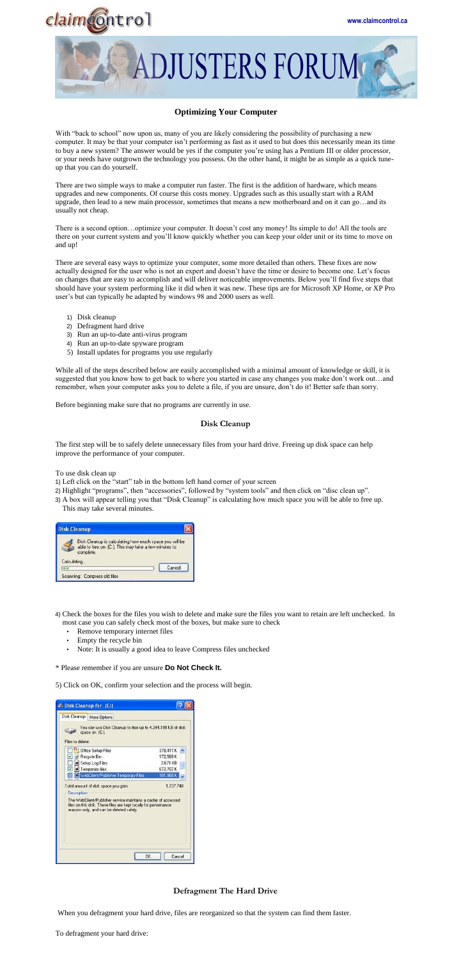



# **Optimizing Your Computer**

With "back to school" now upon us, many of you are likely considering the possibility of purchasing a new computer. It may be that your computer isn't performing as fast as it used to but does this necessarily mean its time to buy a new system? The answer would be yes if the computer you're using has a Pentium III or older processor, or your needs have outgrown the technology you possess. On the other hand, it might be as simple as a quick tuneup that you can do yourself.

There are two simple ways to make a computer run faster. The first is the addition of hardware, which means upgrades and new components. Of course this costs money. Upgrades such as this usually start with a RAM upgrade, then lead to a new main processor, sometimes that means a new motherboard and on it can go…and its usually not cheap.

There is a second option…optimize your computer. It doesn't cost any money! Its simple to do! All the tools are there on your current system and you'll know quickly whether you can keep your older unit or its time to move on and up!

There are several easy ways to optimize your computer, some more detailed than others. These fixes are now actually designed for the user who is not an expert and doesn't have the time or desire to become one. Let's focus on changes that are easy to accomplish and will deliver noticeable improvements. Below you'll find five steps that should have your system performing like it did when it was new. These tips are for Microsoft XP Home, or XP Pro user's but can typically be adapted by windows 98 and 2000 users as well.

- 1) Disk cleanup
- 2) Defragment hard drive
- 3) Run an up-to-date anti-virus program
- 4) Run an up-to-date spyware program
- 5) Install updates for programs you use regularly

While all of the steps described below are easily accomplished with a minimal amount of knowledge or skill, it is suggested that you know how to get back to where you started in case any changes you make don't work out…and remember, when your computer asks you to delete a file, if you are unsure, don't do it! Better safe than sorry.

Before beginning make sure that no programs are currently in use.

### **Disk Cleanup**

The first step will be to safely delete unnecessary files from your hard drive. Freeing up disk space can help improve the performance of your computer.

To use disk clean up

- 1) Left click on the "start" tab in the bottom left hand corner of your screen
- 2) Highlight "programs", then "accessories", followed by "system tools" and then click on "disc clean up".
- 3) A box will appear telling you that "Disk Cleanup" is calculating how much space you will be able to free up. This may take several minutes.



| Calculating                  |        |
|------------------------------|--------|
|                              | Cancel |
| Scanning: Compress old files |        |

- 4) Check the boxes for the files you wish to delete and make sure the files you want to retain are left unchecked. In most case you can safely check most of the boxes, but make sure to check
	- Remove temporary internet files
	- Empty the recycle bin
	- Note: It is usually a good idea to leave Compress files unchecked

\* Please remember if you are unsure **Do Not Check It.** 

5) Click on OK, confirm your selection and the process will begin.

| S Disk Cleanup for (C:)                                                                                                                                                       |              |
|-------------------------------------------------------------------------------------------------------------------------------------------------------------------------------|--------------|
| Disk Cleanup   More Options                                                                                                                                                   |              |
| You can use Disk Cleanup to free up to 4,344,198 KB of disk.<br>space on [C:].<br>Files to delete:                                                                            |              |
| <b>B</b> Office Setup Files                                                                                                                                                   | 378,411 K    |
| <b>P Recycle</b> Bin                                                                                                                                                          | 172,569 K    |
| <b>A</b> Setup Log Files                                                                                                                                                      | 3.671 KB     |
| I a Temporary files                                                                                                                                                           | 672,707K     |
| WebClient/Publisher Temporary Files                                                                                                                                           | 101,968 K    |
| Total amount of disk space you gain:<br>Description:                                                                                                                          | 1,737,748    |
| The WebClient/Publisher service maintains a cache of accessed<br>files on this disk. These files are kept locally for performance<br>reasons only, and can be deleted safely. |              |
|                                                                                                                                                                               | OK<br>Cancel |

# **Defragment The Hard Drive**

When you defragment your hard drive, files are reorganized so that the system can find them faster.

To defragment your hard drive: